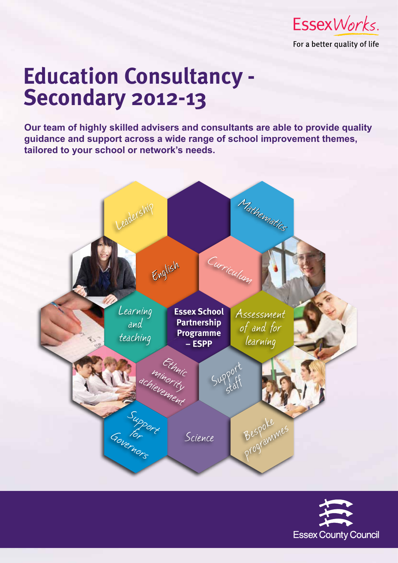EssexWorks.

For a better quality of life

# **Education Consultancy - Secondary 2012-13**

**Our team of highly skilled advisers and consultants are able to provide quality guidance and support across a wide range of school improvement themes, tailored to your school or network's needs.**



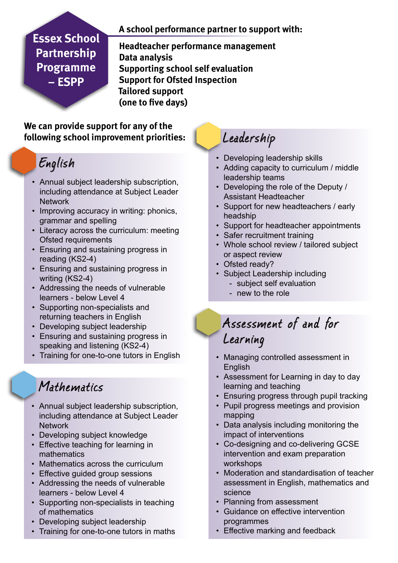#### **A school performance partner to support with:**

**Essex School Partnership Programme – ESPP**

**Headteacher performance management Data analysis Supporting school self evaluation Support for Ofsted Inspection Tailored support (one to five days)**

**We can provide support for any of the following school improvement priorities:**

# English

- Annual subject leadership subscription, including attendance at Subject Leader **Network**
- Improving accuracy in writing: phonics, grammar and spelling
- Literacy across the curriculum: meeting Ofsted requirements
- Ensuring and sustaining progress in reading (KS2-4)
- Ensuring and sustaining progress in writing (KS2-4)
- Addressing the needs of vulnerable learners - below Level 4
- Supporting non-specialists and returning teachers in English
- Developing subject leadership
- Ensuring and sustaining progress in speaking and listening (KS2-4)
- Training for one-to-one tutors in English

### Mathematics

- Annual subject leadership subscription, including attendance at Subject Leader **Network**
- Developing subject knowledge
- Effective teaching for learning in mathematics
- Mathematics across the curriculum
- Effective guided group sessions
- Addressing the needs of vulnerable learners - below Level 4
- Supporting non-specialists in teaching of mathematics
- Developing subject leadership
- Training for one-to-one tutors in maths

# Leadership

- Developing leadership skills
- Adding capacity to curriculum / middle leadership teams
- Developing the role of the Deputy / Assistant Headteacher
- Support for new headteachers / early headship
- Support for headteacher appointments
- Safer recruitment training
- Whole school review / tailored subject or aspect review
- Ofsted ready?
- Subject Leadership including
	- subject self evaluation
	- new to the role

## Assessment of and for Learning

- Managing controlled assessment in English
- Assessment for Learning in day to day learning and teaching
- Ensuring progress through pupil tracking
- Pupil progress meetings and provision mapping
- Data analysis including monitoring the impact of interventions
- Co-designing and co-delivering GCSE intervention and exam preparation workshops
- Moderation and standardisation of teacher assessment in English, mathematics and science
- Planning from assessment
- Guidance on effective intervention programmes
- Effective marking and feedback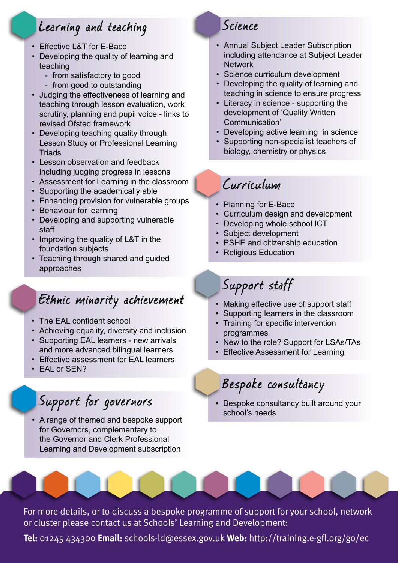### Learning and teaching

- Effective L&T for E-Bacc
- Developing the quality of learning and teaching
	- from satisfactory to good
	- from good to outstanding
- Judging the effectiveness of learning and teaching through lesson evaluation, work scrutiny, planning and pupil voice - links to revised Ofsted framework
- Developing teaching quality through Lesson Study or Professional Learning **Triads**
- Lesson observation and feedback including judging progress in lessons
- Assessment for Learning in the classroom
- Supporting the academically able
- Enhancing provision for vulnerable groups
- Behaviour for learning
- Developing and supporting vulnerable staff
- Improving the quality of L&T in the foundation subjects
- Teaching through shared and guided approaches

### Ethnic minority achievement

- The EAL confident school
- Achieving equality, diversity and inclusion
- Supporting EAL learners new arrivals and more advanced bilingual learners
- Effective assessment for EAL learners
- EAL or SEN?

# Support for governors

• A range of themed and bespoke support for Governors, complementary to the Governor and Clerk Professional Learning and Development subscription

### Science

- Annual Subject Leader Subscription including attendance at Subject Leader **Network**
- Science curriculum development
- Developing the quality of learning and teaching in science to ensure progress
- Literacy in science supporting the development of 'Quality Written Communication'
- Developing active learning in science
- Supporting non-specialist teachers of biology, chemistry or physics

### Curriculum

- Planning for E-Bacc
- Curriculum design and development
- Developing whole school ICT
- Subject development
- PSHE and citizenship education
- Religious Education

# Support staff

- Making effective use of support staff
- Supporting learners in the classroom
- Training for specific intervention programmes
- New to the role? Support for LSAs/TAs
- **Effective Assessment for Learning**

# Bespoke consultancy

• Bespoke consultancy built around your school's needs

For more details, or to discuss a bespoke programme of support for your school, network or cluster please contact us at Schools' Learning and Development:

**Tel:** 01245 434300 **Email:** schools-ld@essex.gov.uk **Web:** http://training.e-gfl.org/go/ec